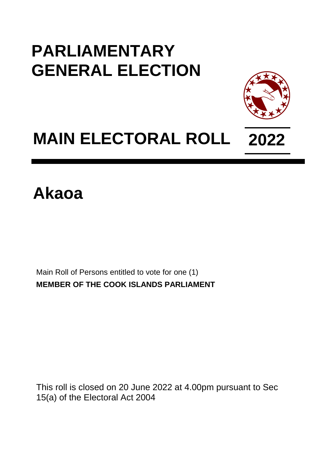## **PARLIAMENTARY GENERAL ELECTION**



## **MAIN ELECTORAL ROLL 2022**

## **Akaoa**

Main Roll of Persons entitled to vote for one (1) **MEMBER OF THE COOK ISLANDS PARLIAMENT**

This roll is closed on 20 June 2022 at 4.00pm pursuant to Sec 15(a) of the Electoral Act 2004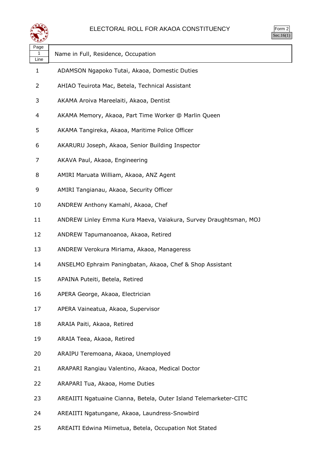

| orm<br>◢ |
|----------|
|          |

| Page<br>1<br>Line | Name in Full, Residence, Occupation                               |
|-------------------|-------------------------------------------------------------------|
| 1                 | ADAMSON Ngapoko Tutai, Akaoa, Domestic Duties                     |
| 2                 | AHIAO Teuirota Mac, Betela, Technical Assistant                   |
| 3                 | AKAMA Aroiva Mareelaiti, Akaoa, Dentist                           |
| 4                 | AKAMA Memory, Akaoa, Part Time Worker @ Marlin Queen              |
| 5                 | AKAMA Tangireka, Akaoa, Maritime Police Officer                   |
| 6                 | AKARURU Joseph, Akaoa, Senior Building Inspector                  |
| 7                 | AKAVA Paul, Akaoa, Engineering                                    |
| 8                 | AMIRI Maruata William, Akaoa, ANZ Agent                           |
| 9                 | AMIRI Tangianau, Akaoa, Security Officer                          |
| 10                | ANDREW Anthony Kamahl, Akaoa, Chef                                |
| 11                | ANDREW Linley Emma Kura Maeva, Vaiakura, Survey Draughtsman, MOJ  |
| 12                | ANDREW Tapumanoanoa, Akaoa, Retired                               |
| 13                | ANDREW Verokura Miriama, Akaoa, Manageress                        |
| 14                | ANSELMO Ephraim Paningbatan, Akaoa, Chef & Shop Assistant         |
| 15                | APAINA Puteiti, Betela, Retired                                   |
| 16                | APERA George, Akaoa, Electrician                                  |
| 17                | APERA Vaineatua, Akaoa, Supervisor                                |
| 18                | ARAIA Paiti, Akaoa, Retired                                       |
| 19                | ARAIA Teea, Akaoa, Retired                                        |
| 20                | ARAIPU Teremoana, Akaoa, Unemployed                               |
| 21                | ARAPARI Rangiau Valentino, Akaoa, Medical Doctor                  |
| 22                | ARAPARI Tua, Akaoa, Home Duties                                   |
| 23                | AREAIITI Ngatuaine Cianna, Betela, Outer Island Telemarketer-CITC |
| 24                | AREAIITI Ngatungane, Akaoa, Laundress-Snowbird                    |
|                   |                                                                   |

AREAITI Edwina Miimetua, Betela, Occupation Not Stated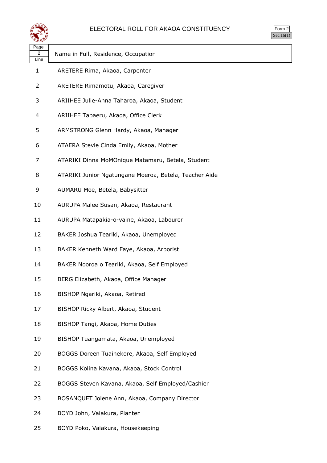

| orm<br>╯ |  |
|----------|--|
|          |  |

| ৼ±≠৴                           |                                                        |
|--------------------------------|--------------------------------------------------------|
| Page<br>$\overline{2}$<br>Line | Name in Full, Residence, Occupation                    |
| $\mathbf{1}$                   | ARETERE Rima, Akaoa, Carpenter                         |
| 2                              | ARETERE Rimamotu, Akaoa, Caregiver                     |
| 3                              | ARIIHEE Julie-Anna Taharoa, Akaoa, Student             |
| 4                              | ARIIHEE Tapaeru, Akaoa, Office Clerk                   |
| 5                              | ARMSTRONG Glenn Hardy, Akaoa, Manager                  |
| 6                              | ATAERA Stevie Cinda Emily, Akaoa, Mother               |
| 7                              | ATARIKI Dinna MoMOnique Matamaru, Betela, Student      |
| 8                              | ATARIKI Junior Ngatungane Moeroa, Betela, Teacher Aide |
| 9                              | AUMARU Moe, Betela, Babysitter                         |
| 10                             | AURUPA Malee Susan, Akaoa, Restaurant                  |
| 11                             | AURUPA Matapakia-o-vaine, Akaoa, Labourer              |
| 12                             | BAKER Joshua Teariki, Akaoa, Unemployed                |
| 13                             | BAKER Kenneth Ward Faye, Akaoa, Arborist               |
| 14                             | BAKER Nooroa o Teariki, Akaoa, Self Employed           |
| 15                             | BERG Elizabeth, Akaoa, Office Manager                  |
| 16                             | BISHOP Ngariki, Akaoa, Retired                         |
| 17                             | BISHOP Ricky Albert, Akaoa, Student                    |
| 18                             | BISHOP Tangi, Akaoa, Home Duties                       |
| 19                             | BISHOP Tuangamata, Akaoa, Unemployed                   |
| 20                             | BOGGS Doreen Tuainekore, Akaoa, Self Employed          |
| 21                             | BOGGS Kolina Kavana, Akaoa, Stock Control              |
| 22                             | BOGGS Steven Kavana, Akaoa, Self Employed/Cashier      |
| 23                             | BOSANQUET Jolene Ann, Akaoa, Company Director          |
| 24                             | BOYD John, Vaiakura, Planter                           |

BOYD Poko, Vaiakura, Housekeeping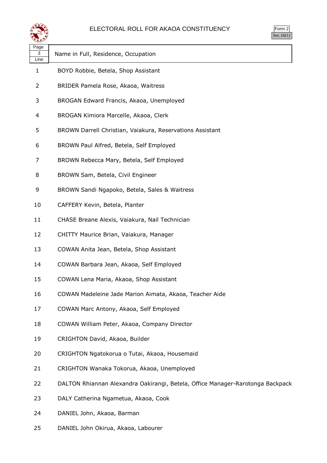

| $\mathsf{m}$<br>◢<br>u<br>٠<br>×, |  |
|-----------------------------------|--|
|                                   |  |

| ≍ख≠               |                                                                                |
|-------------------|--------------------------------------------------------------------------------|
| Page<br>3<br>Line | Name in Full, Residence, Occupation                                            |
| 1                 | BOYD Robbie, Betela, Shop Assistant                                            |
| $\overline{2}$    | BRIDER Pamela Rose, Akaoa, Waitress                                            |
| 3                 | BROGAN Edward Francis, Akaoa, Unemployed                                       |
| 4                 | BROGAN Kimiora Marcelle, Akaoa, Clerk                                          |
| 5                 | BROWN Darrell Christian, Vaiakura, Reservations Assistant                      |
| 6                 | BROWN Paul Alfred, Betela, Self Employed                                       |
| 7                 | BROWN Rebecca Mary, Betela, Self Employed                                      |
| 8                 | BROWN Sam, Betela, Civil Engineer                                              |
| 9                 | BROWN Sandi Ngapoko, Betela, Sales & Waitress                                  |
| 10                | CAFFERY Kevin, Betela, Planter                                                 |
| 11                | CHASE Breane Alexis, Vaiakura, Nail Technician                                 |
| 12                | CHITTY Maurice Brian, Vaiakura, Manager                                        |
| 13                | COWAN Anita Jean, Betela, Shop Assistant                                       |
| 14                | COWAN Barbara Jean, Akaoa, Self Employed                                       |
| 15                | COWAN Lena Maria, Akaoa, Shop Assistant                                        |
| 16                | COWAN Madeleine Jade Marion Aimata, Akaoa, Teacher Aide                        |
| 17                | COWAN Marc Antony, Akaoa, Self Employed                                        |
| 18                | COWAN William Peter, Akaoa, Company Director                                   |
| 19                | CRIGHTON David, Akaoa, Builder                                                 |
| 20                | CRIGHTON Ngatokorua o Tutai, Akaoa, Housemaid                                  |
| 21                | CRIGHTON Wanaka Tokorua, Akaoa, Unemployed                                     |
| 22                | DALTON Rhiannan Alexandra Oakirangi, Betela, Office Manager-Rarotonga Backpack |
| 23                | DALY Catherina Ngametua, Akaoa, Cook                                           |
| 24                | DANIEL John, Akaoa, Barman                                                     |
|                   |                                                                                |

DANIEL John Okirua, Akaoa, Labourer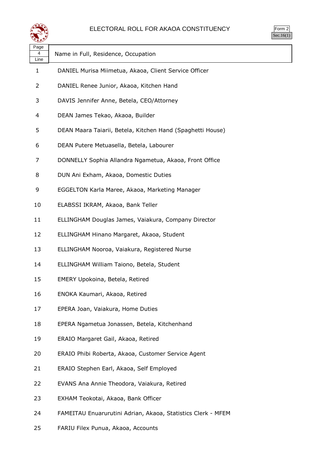

| <b>rm</b><br>╯ |
|----------------|
|                |

| Page<br>4<br>Line | Name in Full, Residence, Occupation                          |
|-------------------|--------------------------------------------------------------|
| 1                 | DANIEL Murisa Miimetua, Akaoa, Client Service Officer        |
| 2                 | DANIEL Renee Junior, Akaoa, Kitchen Hand                     |
| 3                 | DAVIS Jennifer Anne, Betela, CEO/Attorney                    |
| 4                 | DEAN James Tekao, Akaoa, Builder                             |
| 5                 | DEAN Maara Taiarii, Betela, Kitchen Hand (Spaghetti House)   |
| 6                 | DEAN Putere Metuasella, Betela, Labourer                     |
| 7                 | DONNELLY Sophia Allandra Ngametua, Akaoa, Front Office       |
| 8                 | DUN Ani Exham, Akaoa, Domestic Duties                        |
| 9                 | EGGELTON Karla Maree, Akaoa, Marketing Manager               |
| 10                | ELABSSI IKRAM, Akaoa, Bank Teller                            |
| 11                | ELLINGHAM Douglas James, Vaiakura, Company Director          |
| 12                | ELLINGHAM Hinano Margaret, Akaoa, Student                    |
| 13                | ELLINGHAM Nooroa, Vaiakura, Registered Nurse                 |
| 14                | ELLINGHAM William Taiono, Betela, Student                    |
| 15                | EMERY Upokoina, Betela, Retired                              |
| 16                | ENOKA Kaumari, Akaoa, Retired                                |
| 17                | EPERA Joan, Vaiakura, Home Duties                            |
| 18                | EPERA Ngametua Jonassen, Betela, Kitchenhand                 |
| 19                | ERAIO Margaret Gail, Akaoa, Retired                          |
| 20                | ERAIO Phibi Roberta, Akaoa, Customer Service Agent           |
| 21                | ERAIO Stephen Earl, Akaoa, Self Employed                     |
| 22                | EVANS Ana Annie Theodora, Vaiakura, Retired                  |
| 23                | EXHAM Teokotai, Akaoa, Bank Officer                          |
| 24                | FAMEITAU Enuarurutini Adrian, Akaoa, Statistics Clerk - MFEM |

FARIU Filex Punua, Akaoa, Accounts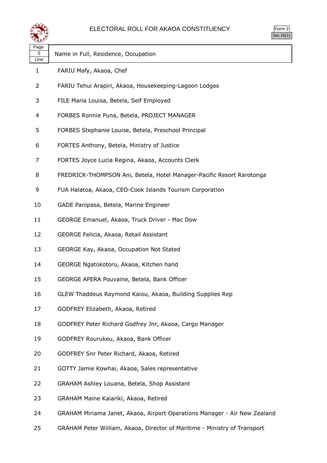

| Page<br>5<br>Line | Name in Full, Residence, Occupation                                       |
|-------------------|---------------------------------------------------------------------------|
| 1                 | FARIU Mafy, Akaoa, Chef                                                   |
| 2                 | FARIU Tehui Arapiri, Akaoa, Housekeeping-Lagoon Lodges                    |
| 3                 | FILE Maria Louisa, Betela, Self Employed                                  |
| 4                 | FORBES Ronnie Puna, Betela, PROJECT MANAGER                               |
| 5                 | FORBES Stephanie Louise, Betela, Preschool Principal                      |
| 6                 | FORTES Anthony, Betela, Ministry of Justice                               |
| 7                 | FORTES Joyce Lucia Regina, Akaoa, Accounts Clerk                          |
| 8                 | FREDRICK-THOMPSON Ani, Betela, Hotel Manager-Pacific Resort Rarotonga     |
| 9                 | FUA Halatoa, Akaoa, CEO-Cook Islands Tourism Corporation                  |
| 10                | GADE Panipasa, Betela, Marine Engineer                                    |
| 11                | GEORGE Emanuel, Akaoa, Truck Driver - Mac Dow                             |
| 12                | GEORGE Felicia, Akaoa, Retail Assistant                                   |
| 13                | GEORGE Kay, Akaoa, Occupation Not Stated                                  |
| 14                | GEORGE Ngatokotoru, Akaoa, Kitchen hand                                   |
| 15                | GEORGE APERA Pouvaine, Betela, Bank Officer                               |
| 16                | GLEW Thaddeus Raymond Kaiou, Akaoa, Building Supplies Rep                 |
| 17                | GODFREY Elizabeth, Akaoa, Retired                                         |
| 18                | GODFREY Peter Richard Godfrey Jnr, Akaoa, Cargo Manager                   |
| 19                | GODFREY Rourukeu, Akaoa, Bank Officer                                     |
| 20                | GODFREY Snr Peter Richard, Akaoa, Retired                                 |
| 21                | GOTTY Jamie Kowhai, Akaoa, Sales representative                           |
| 22                | GRAHAM Ashley Louana, Betela, Shop Assistant                              |
| 23                | GRAHAM Maine Kaiariki, Akaoa, Retired                                     |
| 24                | GRAHAM Miriama Janet, Akaoa, Airport Operations Manager - Air New Zealand |
| 25                | GRAHAM Peter William, Akaoa, Director of Maritime - Ministry of Transport |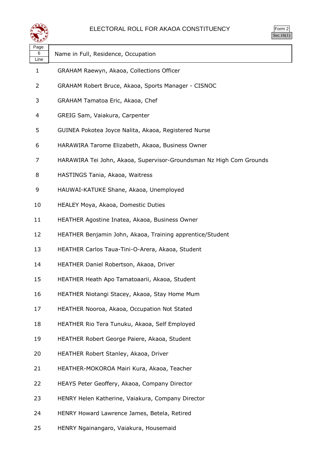

| rm<br>٠<br>л |
|--------------|
|              |

| Page<br>6<br>Line | Name in Full, Residence, Occupation                                 |
|-------------------|---------------------------------------------------------------------|
| 1                 | GRAHAM Raewyn, Akaoa, Collections Officer                           |
| 2                 | GRAHAM Robert Bruce, Akaoa, Sports Manager - CISNOC                 |
| 3                 | GRAHAM Tamatoa Eric, Akaoa, Chef                                    |
| 4                 | GREIG Sam, Vaiakura, Carpenter                                      |
| 5                 | GUINEA Pokotea Joyce Nalita, Akaoa, Registered Nurse                |
| 6                 | HARAWIRA Tarome Elizabeth, Akaoa, Business Owner                    |
| 7                 | HARAWIRA Tei John, Akaoa, Supervisor-Groundsman Nz High Com Grounds |
| 8                 | HASTINGS Tania, Akaoa, Waitress                                     |
| 9                 | HAUWAI-KATUKE Shane, Akaoa, Unemployed                              |
| 10                | HEALEY Moya, Akaoa, Domestic Duties                                 |
| 11                | HEATHER Agostine Inatea, Akaoa, Business Owner                      |
| 12                | HEATHER Benjamin John, Akaoa, Training apprentice/Student           |
| 13                | HEATHER Carlos Taua-Tini-O-Arera, Akaoa, Student                    |
| 14                | HEATHER Daniel Robertson, Akaoa, Driver                             |
| 15                | HEATHER Heath Apo Tamatoaarii, Akaoa, Student                       |
| 16                | HEATHER Niotangi Stacey, Akaoa, Stay Home Mum                       |
| 17                | HEATHER Nooroa, Akaoa, Occupation Not Stated                        |
| 18                | HEATHER Rio Tera Tunuku, Akaoa, Self Employed                       |
| 19                | HEATHER Robert George Paiere, Akaoa, Student                        |
| 20                | HEATHER Robert Stanley, Akaoa, Driver                               |
| 21                | HEATHER-MOKOROA Mairi Kura, Akaoa, Teacher                          |
| 22                | HEAYS Peter Geoffery, Akaoa, Company Director                       |
| 23                | HENRY Helen Katherine, Vaiakura, Company Director                   |
| 24                | HENRY Howard Lawrence James, Betela, Retired                        |

HENRY Ngainangaro, Vaiakura, Housemaid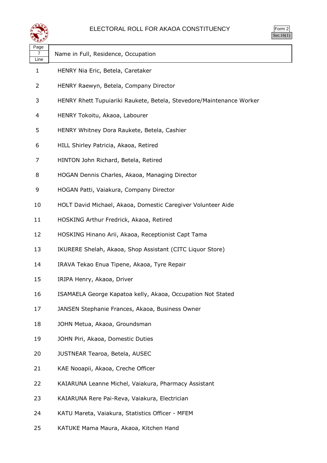

| $\mathsf{m}$ |  |
|--------------|--|
|              |  |

|                   |                                                                      | Sec. |
|-------------------|----------------------------------------------------------------------|------|
| Page<br>7<br>Line | Name in Full, Residence, Occupation                                  |      |
| 1                 | HENRY Nia Eric, Betela, Caretaker                                    |      |
| 2                 | HENRY Raewyn, Betela, Company Director                               |      |
| 3                 | HENRY Rhett Tupuiariki Raukete, Betela, Stevedore/Maintenance Worker |      |
| 4                 | HENRY Tokoitu, Akaoa, Labourer                                       |      |
| 5                 | HENRY Whitney Dora Raukete, Betela, Cashier                          |      |
| 6                 | HILL Shirley Patricia, Akaoa, Retired                                |      |
| 7                 | HINTON John Richard, Betela, Retired                                 |      |
| 8                 | HOGAN Dennis Charles, Akaoa, Managing Director                       |      |
| 9                 | HOGAN Patti, Vaiakura, Company Director                              |      |
| 10                | HOLT David Michael, Akaoa, Domestic Caregiver Volunteer Aide         |      |
| 11                | HOSKING Arthur Fredrick, Akaoa, Retired                              |      |
| 12                | HOSKING Hinano Arii, Akaoa, Receptionist Capt Tama                   |      |
| 13                | IKURERE Shelah, Akaoa, Shop Assistant (CITC Liquor Store)            |      |
| 14                | IRAVA Tekao Enua Tipene, Akaoa, Tyre Repair                          |      |
| 15                | IRIPA Henry, Akaoa, Driver                                           |      |
| 16                | ISAMAELA George Kapatoa kelly, Akaoa, Occupation Not Stated          |      |
| 17                | JANSEN Stephanie Frances, Akaoa, Business Owner                      |      |
| 18                | JOHN Metua, Akaoa, Groundsman                                        |      |
| 19                | JOHN Piri, Akaoa, Domestic Duties                                    |      |
| 20                | JUSTNEAR Tearoa, Betela, AUSEC                                       |      |
| 21                | KAE Nooapii, Akaoa, Creche Officer                                   |      |
| 22                | KAIARUNA Leanne Michel, Vaiakura, Pharmacy Assistant                 |      |
| 23                | KAIARUNA Rere Pai-Reva, Vaiakura, Electrician                        |      |
| 24                | KATU Mareta, Vaiakura, Statistics Officer - MFEM                     |      |
|                   |                                                                      |      |

KATUKE Mama Maura, Akaoa, Kitchen Hand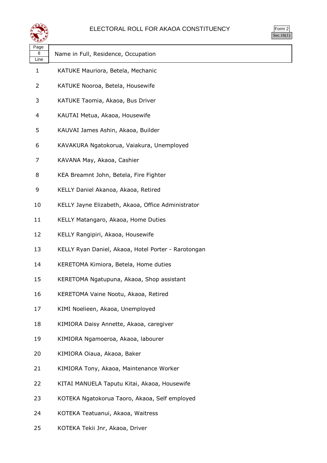

| orm<br>╭ |
|----------|
| ` 1      |

| Page<br>8      | Name in Full, Residence, Occupation                 |
|----------------|-----------------------------------------------------|
| Line<br>1      | KATUKE Mauriora, Betela, Mechanic                   |
| $\overline{2}$ | KATUKE Nooroa, Betela, Housewife                    |
| 3              | KATUKE Taomia, Akaoa, Bus Driver                    |
| 4              | KAUTAI Metua, Akaoa, Housewife                      |
| 5              | KAUVAI James Ashin, Akaoa, Builder                  |
| 6              | KAVAKURA Ngatokorua, Vaiakura, Unemployed           |
| 7              | KAVANA May, Akaoa, Cashier                          |
| 8              | KEA Breamnt John, Betela, Fire Fighter              |
| 9              | KELLY Daniel Akanoa, Akaoa, Retired                 |
| 10             | KELLY Jayne Elizabeth, Akaoa, Office Administrator  |
| 11             | KELLY Matangaro, Akaoa, Home Duties                 |
| 12             | KELLY Rangipiri, Akaoa, Housewife                   |
| 13             | KELLY Ryan Daniel, Akaoa, Hotel Porter - Rarotongan |
| 14             | KERETOMA Kimiora, Betela, Home duties               |
| 15             | KERETOMA Ngatupuna, Akaoa, Shop assistant           |
| 16             | KERETOMA Vaine Nootu, Akaoa, Retired                |
| 17             | KIMI Noelieen, Akaoa, Unemployed                    |
| 18             | KIMIORA Daisy Annette, Akaoa, caregiver             |
| 19             | KIMIORA Ngamoeroa, Akaoa, labourer                  |
| 20             | KIMIORA Oiaua, Akaoa, Baker                         |
| 21             | KIMIORA Tony, Akaoa, Maintenance Worker             |
| 22             | KITAI MANUELA Taputu Kitai, Akaoa, Housewife        |
| 23             | KOTEKA Ngatokorua Taoro, Akaoa, Self employed       |
| 24             | KOTEKA Teatuanui, Akaoa, Waitress                   |
|                |                                                     |

KOTEKA Tekii Jnr, Akaoa, Driver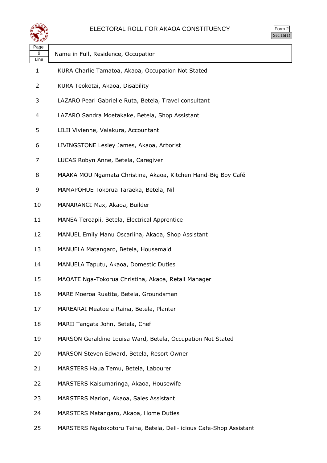

| ∼                 |                                                               |
|-------------------|---------------------------------------------------------------|
| Page<br>9<br>Line | Name in Full, Residence, Occupation                           |
| 1                 | KURA Charlie Tamatoa, Akaoa, Occupation Not Stated            |
| 2                 | KURA Teokotai, Akaoa, Disability                              |
| 3                 | LAZARO Pearl Gabrielle Ruta, Betela, Travel consultant        |
| 4                 | LAZARO Sandra Moetakake, Betela, Shop Assistant               |
| 5                 | LILII Vivienne, Vaiakura, Accountant                          |
| 6                 | LIVINGSTONE Lesley James, Akaoa, Arborist                     |
| 7                 | LUCAS Robyn Anne, Betela, Caregiver                           |
| 8                 | MAAKA MOU Ngamata Christina, Akaoa, Kitchen Hand-Big Boy Café |
| 9                 | MAMAPOHUE Tokorua Taraeka, Betela, Nil                        |
| 10                | MANARANGI Max, Akaoa, Builder                                 |
| 11                | MANEA Tereapii, Betela, Electrical Apprentice                 |
| 12                | MANUEL Emily Manu Oscarlina, Akaoa, Shop Assistant            |
| 13                | MANUELA Matangaro, Betela, Housemaid                          |
| 14                | MANUELA Taputu, Akaoa, Domestic Duties                        |
| 15                | MAOATE Nga-Tokorua Christina, Akaoa, Retail Manager           |
| 16                | MARE Moeroa Ruatita, Betela, Groundsman                       |
| 17                | MAREARAI Meatoe a Raina, Betela, Planter                      |
| 18                | MARII Tangata John, Betela, Chef                              |
| 19                | MARSON Geraldine Louisa Ward, Betela, Occupation Not Stated   |
| 20                | MARSON Steven Edward, Betela, Resort Owner                    |
| 21                | MARSTERS Haua Temu, Betela, Labourer                          |
| 22                | MARSTERS Kaisumaringa, Akaoa, Housewife                       |
| 23                | MARSTERS Marion, Akaoa, Sales Assistant                       |
| 24                | MARSTERS Matangaro, Akaoa, Home Duties                        |
|                   |                                                               |

MARSTERS Ngatokotoru Teina, Betela, Deli-licious Cafe-Shop Assistant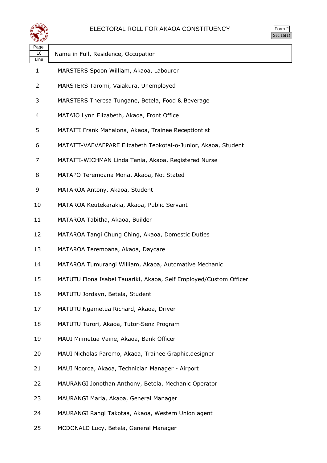

| ırm<br>Ξ |
|----------|
|          |

| Page<br>10<br>Line | Name in Full, Residence, Occupation                               |
|--------------------|-------------------------------------------------------------------|
| 1                  | MARSTERS Spoon William, Akaoa, Labourer                           |
| 2                  | MARSTERS Taromi, Vaiakura, Unemployed                             |
| 3                  | MARSTERS Theresa Tungane, Betela, Food & Beverage                 |
| 4                  | MATAIO Lynn Elizabeth, Akaoa, Front Office                        |
| 5                  | MATAITI Frank Mahalona, Akaoa, Trainee Receptiontist              |
| 6                  | MATAITI-VAEVAEPARE Elizabeth Teokotai-o-Junior, Akaoa, Student    |
| 7                  | MATAITI-WICHMAN Linda Tania, Akaoa, Registered Nurse              |
| 8                  | MATAPO Teremoana Mona, Akaoa, Not Stated                          |
| 9                  | MATAROA Antony, Akaoa, Student                                    |
| 10                 | MATAROA Keutekarakia, Akaoa, Public Servant                       |
| 11                 | MATAROA Tabitha, Akaoa, Builder                                   |
| 12                 | MATAROA Tangi Chung Ching, Akaoa, Domestic Duties                 |
| 13                 | MATAROA Teremoana, Akaoa, Daycare                                 |
| 14                 | MATAROA Tumurangi William, Akaoa, Automative Mechanic             |
| 15                 | MATUTU Fiona Isabel Tauariki, Akaoa, Self Employed/Custom Officer |
| 16                 | MATUTU Jordayn, Betela, Student                                   |
| 17                 | MATUTU Ngametua Richard, Akaoa, Driver                            |
| 18                 | MATUTU Turori, Akaoa, Tutor-Senz Program                          |
| 19                 | MAUI Miimetua Vaine, Akaoa, Bank Officer                          |
| 20                 | MAUI Nicholas Paremo, Akaoa, Trainee Graphic, designer            |
| 21                 | MAUI Nooroa, Akaoa, Technician Manager - Airport                  |
| 22                 | MAURANGI Jonothan Anthony, Betela, Mechanic Operator              |
| 23                 | MAURANGI Maria, Akaoa, General Manager                            |
| 24                 | MAURANGI Rangi Takotaa, Akaoa, Western Union agent                |
| 25                 | MCDONALD Lucy, Betela, General Manager                            |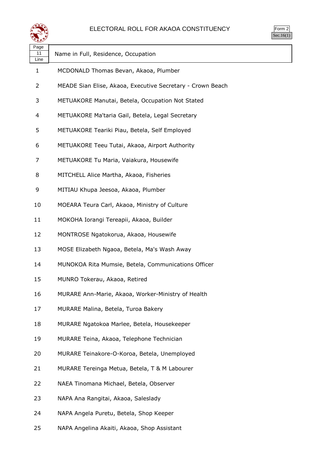

| Page<br>11<br>Line | Name in Full, Residence, Occupation                        |
|--------------------|------------------------------------------------------------|
| 1                  | MCDONALD Thomas Bevan, Akaoa, Plumber                      |
| 2                  | MEADE Sian Elise, Akaoa, Executive Secretary - Crown Beach |
| 3                  | METUAKORE Manutai, Betela, Occupation Not Stated           |
| 4                  | METUAKORE Ma'taria Gail, Betela, Legal Secretary           |
| 5                  | METUAKORE Teariki Piau, Betela, Self Employed              |
| 6                  | METUAKORE Teeu Tutai, Akaoa, Airport Authority             |
| 7                  | METUAKORE Tu Maria, Vaiakura, Housewife                    |
| 8                  | MITCHELL Alice Martha, Akaoa, Fisheries                    |
| 9                  | MITIAU Khupa Jeesoa, Akaoa, Plumber                        |
| 10                 | MOEARA Teura Carl, Akaoa, Ministry of Culture              |
| 11                 | MOKOHA Iorangi Tereapii, Akaoa, Builder                    |
| 12                 | MONTROSE Ngatokorua, Akaoa, Housewife                      |
| 13                 | MOSE Elizabeth Ngaoa, Betela, Ma's Wash Away               |
| 14                 | MUNOKOA Rita Mumsie, Betela, Communications Officer        |
| 15                 | MUNRO Tokerau, Akaoa, Retired                              |
| 16                 | MURARE Ann-Marie, Akaoa, Worker-Ministry of Health         |
| 17                 | MURARE Malina, Betela, Turoa Bakery                        |
| 18                 | MURARE Ngatokoa Marlee, Betela, Housekeeper                |
| 19                 | MURARE Teina, Akaoa, Telephone Technician                  |
| 20                 | MURARE Teinakore-O-Koroa, Betela, Unemployed               |
| 21                 | MURARE Tereinga Metua, Betela, T & M Labourer              |
| 22                 | NAEA Tinomana Michael, Betela, Observer                    |
| 23                 | NAPA Ana Rangitai, Akaoa, Saleslady                        |
| 24                 | NAPA Angela Puretu, Betela, Shop Keeper                    |
|                    |                                                            |

NAPA Angelina Akaiti, Akaoa, Shop Assistant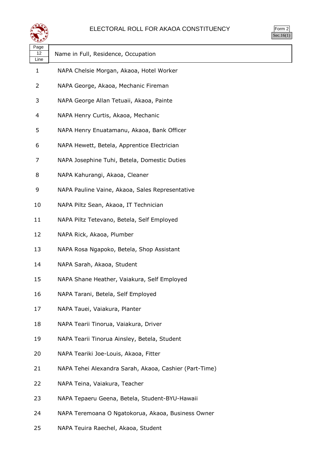

| orm<br>╭ |
|----------|
| ` 1      |

| Page<br>12<br>Line | Name in Full, Residence, Occupation                    |
|--------------------|--------------------------------------------------------|
| 1                  | NAPA Chelsie Morgan, Akaoa, Hotel Worker               |
| 2                  | NAPA George, Akaoa, Mechanic Fireman                   |
| 3                  | NAPA George Allan Tetuaii, Akaoa, Painte               |
| 4                  | NAPA Henry Curtis, Akaoa, Mechanic                     |
| 5                  | NAPA Henry Enuatamanu, Akaoa, Bank Officer             |
| 6                  | NAPA Hewett, Betela, Apprentice Electrician            |
| 7                  | NAPA Josephine Tuhi, Betela, Domestic Duties           |
| 8                  | NAPA Kahurangi, Akaoa, Cleaner                         |
| 9                  | NAPA Pauline Vaine, Akaoa, Sales Representative        |
| 10                 | NAPA Piltz Sean, Akaoa, IT Technician                  |
| 11                 | NAPA Piltz Tetevano, Betela, Self Employed             |
| 12                 | NAPA Rick, Akaoa, Plumber                              |
| 13                 | NAPA Rosa Ngapoko, Betela, Shop Assistant              |
| 14                 | NAPA Sarah, Akaoa, Student                             |
| 15                 | NAPA Shane Heather, Vaiakura, Self Employed            |
| 16                 | NAPA Tarani, Betela, Self Employed                     |
| 17                 | NAPA Tauei, Vaiakura, Planter                          |
| 18                 | NAPA Tearii Tinorua, Vaiakura, Driver                  |
| 19                 | NAPA Tearii Tinorua Ainsley, Betela, Student           |
| 20                 | NAPA Teariki Joe-Louis, Akaoa, Fitter                  |
| 21                 | NAPA Tehei Alexandra Sarah, Akaoa, Cashier (Part-Time) |
| 22                 | NAPA Teina, Vaiakura, Teacher                          |
| 23                 | NAPA Tepaeru Geena, Betela, Student-BYU-Hawaii         |
| 24                 | NAPA Teremoana O Ngatokorua, Akaoa, Business Owner     |

NAPA Teuira Raechel, Akaoa, Student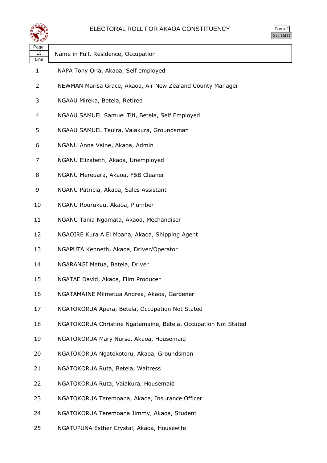

| ≍±≠                |                                                                |
|--------------------|----------------------------------------------------------------|
| Page<br>13<br>Line | Name in Full, Residence, Occupation                            |
| 1                  | NAPA Tony Orla, Akaoa, Self employed                           |
| 2                  | NEWMAN Marisa Grace, Akaoa, Air New Zealand County Manager     |
| 3                  | NGAAU Mireka, Betela, Retired                                  |
| 4                  | NGAAU SAMUEL Samuel Titi, Betela, Self Employed                |
| 5                  | NGAAU SAMUEL Teuira, Vaiakura, Groundsman                      |
| 6                  | NGANU Anna Vaine, Akaoa, Admin                                 |
| 7                  | NGANU Elizabeth, Akaoa, Unemployed                             |
| 8                  | NGANU Mereuara, Akaoa, F&B Cleaner                             |
| 9                  | NGANU Patricia, Akaoa, Sales Assistant                         |
| 10                 | NGANU Rourukeu, Akaoa, Plumber                                 |
| 11                 | NGANU Tania Ngamata, Akaoa, Mechandiser                        |
| 12                 | NGAOIRE Kura A Ei Moana, Akaoa, Shipping Agent                 |
| 13                 | NGAPUTA Kenneth, Akaoa, Driver/Operator                        |
| 14                 | NGARANGI Metua, Betela, Driver                                 |
| 15                 | NGATAE David, Akaoa, Film Producer                             |
| 16                 | NGATAMAINE Miimetua Andrea, Akaoa, Gardener                    |
| 17                 | NGATOKORUA Apera, Betela, Occupation Not Stated                |
| 18                 | NGATOKORUA Christine Ngatamaine, Betela, Occupation Not Stated |
| 19                 | NGATOKORUA Mary Nurse, Akaoa, Housemaid                        |
| 20                 | NGATOKORUA Ngatokotoru, Akaoa, Groundsman                      |
| 21                 | NGATOKORUA Ruta, Betela, Waitress                              |
| 22                 | NGATOKORUA Ruta, Vaiakura, Housemaid                           |
| 23                 | NGATOKORUA Teremoana, Akaoa, Insurance Officer                 |
| 24                 | NGATOKORUA Teremoana Jimmy, Akaoa, Student                     |
| 25                 | NGATUPUNA Esther Crystal, Akaoa, Housewife                     |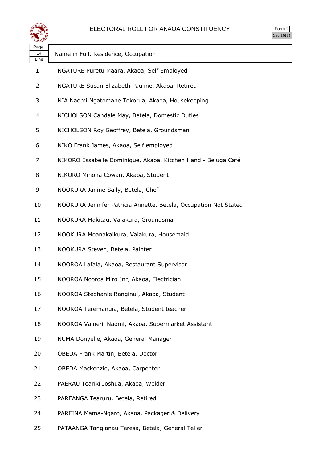

| Page<br>14<br>Line | Name in Full, Residence, Occupation                              |
|--------------------|------------------------------------------------------------------|
| 1                  | NGATURE Puretu Maara, Akaoa, Self Employed                       |
| 2                  | NGATURE Susan Elizabeth Pauline, Akaoa, Retired                  |
| 3                  | NIA Naomi Ngatomane Tokorua, Akaoa, Housekeeping                 |
| 4                  | NICHOLSON Candale May, Betela, Domestic Duties                   |
| 5                  | NICHOLSON Roy Geoffrey, Betela, Groundsman                       |
| 6                  | NIKO Frank James, Akaoa, Self employed                           |
| 7                  | NIKORO Essabelle Dominique, Akaoa, Kitchen Hand - Beluga Café    |
| 8                  | NIKORO Minona Cowan, Akaoa, Student                              |
| 9                  | NOOKURA Janine Sally, Betela, Chef                               |
| 10                 | NOOKURA Jennifer Patricia Annette, Betela, Occupation Not Stated |
| 11                 | NOOKURA Makitau, Vaiakura, Groundsman                            |
| 12                 | NOOKURA Moanakaikura, Vaiakura, Housemaid                        |
| 13                 | NOOKURA Steven, Betela, Painter                                  |
| 14                 | NOOROA Lafala, Akaoa, Restaurant Supervisor                      |
| 15                 | NOOROA Nooroa Miro Jnr, Akaoa, Electrician                       |
| 16                 | NOOROA Stephanie Ranginui, Akaoa, Student                        |
| 17                 | NOOROA Teremanuia, Betela, Student teacher                       |
| 18                 | NOOROA Vainerii Naomi, Akaoa, Supermarket Assistant              |
| 19                 | NUMA Donyelle, Akaoa, General Manager                            |
| 20                 | OBEDA Frank Martin, Betela, Doctor                               |
| 21                 | OBEDA Mackenzie, Akaoa, Carpenter                                |
| 22                 | PAERAU Teariki Joshua, Akaoa, Welder                             |
| 23                 | PAREANGA Tearuru, Betela, Retired                                |
| 24                 | PAREINA Mama-Ngaro, Akaoa, Packager & Delivery                   |
|                    |                                                                  |

PATAANGA Tangianau Teresa, Betela, General Teller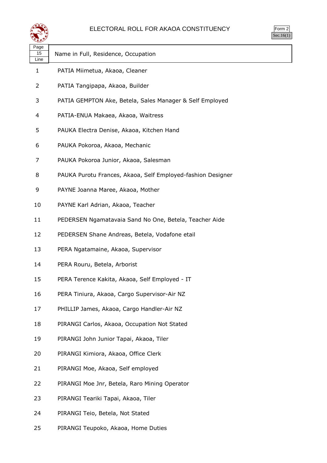

| <b>Im</b><br>٠<br>u<br>$\cdot$ . |
|----------------------------------|
| ×.                               |

| Page<br>15<br>Line | Name in Full, Residence, Occupation                         |
|--------------------|-------------------------------------------------------------|
| 1                  | PATIA Miimetua, Akaoa, Cleaner                              |
| 2                  | PATIA Tangipapa, Akaoa, Builder                             |
| 3                  | PATIA GEMPTON Ake, Betela, Sales Manager & Self Employed    |
| 4                  | PATIA-ENUA Makaea, Akaoa, Waitress                          |
| 5                  | PAUKA Electra Denise, Akaoa, Kitchen Hand                   |
| 6                  | PAUKA Pokoroa, Akaoa, Mechanic                              |
| 7                  | PAUKA Pokoroa Junior, Akaoa, Salesman                       |
| 8                  | PAUKA Purotu Frances, Akaoa, Self Employed-fashion Designer |
| 9                  | PAYNE Joanna Maree, Akaoa, Mother                           |
| 10                 | PAYNE Karl Adrian, Akaoa, Teacher                           |
| 11                 | PEDERSEN Ngamatavaia Sand No One, Betela, Teacher Aide      |
| 12                 | PEDERSEN Shane Andreas, Betela, Vodafone etail              |
| 13                 | PERA Ngatamaine, Akaoa, Supervisor                          |
| 14                 | PERA Rouru, Betela, Arborist                                |
| 15                 | PERA Terence Kakita, Akaoa, Self Employed - IT              |
| 16                 | PERA Tiniura, Akaoa, Cargo Supervisor-Air NZ                |
| 17                 | PHILLIP James, Akaoa, Cargo Handler-Air NZ                  |
| 18                 | PIRANGI Carlos, Akaoa, Occupation Not Stated                |
| 19                 | PIRANGI John Junior Tapai, Akaoa, Tiler                     |
| 20                 | PIRANGI Kimiora, Akaoa, Office Clerk                        |
| 21                 | PIRANGI Moe, Akaoa, Self employed                           |
| 22                 | PIRANGI Moe Jnr, Betela, Raro Mining Operator               |
| 23                 | PIRANGI Teariki Tapai, Akaoa, Tiler                         |
| 24                 | PIRANGI Teio, Betela, Not Stated                            |

PIRANGI Teupoko, Akaoa, Home Duties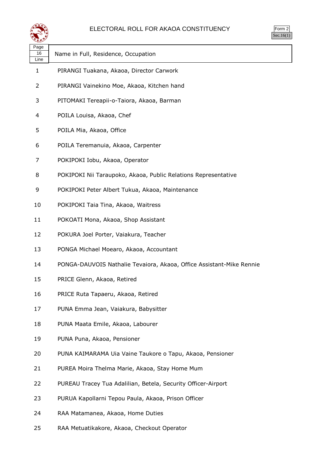

| orm<br>╭ |
|----------|
| ` 1      |

| ---                |                                                                      |
|--------------------|----------------------------------------------------------------------|
| Page<br>16<br>Line | Name in Full, Residence, Occupation                                  |
| 1                  | PIRANGI Tuakana, Akaoa, Director Carwork                             |
| 2                  | PIRANGI Vainekino Moe, Akaoa, Kitchen hand                           |
| 3                  | PITOMAKI Tereapii-o-Taiora, Akaoa, Barman                            |
| 4                  | POILA Louisa, Akaoa, Chef                                            |
| 5                  | POILA Mia, Akaoa, Office                                             |
| 6                  | POILA Teremanuia, Akaoa, Carpenter                                   |
| 7                  | POKIPOKI Iobu, Akaoa, Operator                                       |
| 8                  | POKIPOKI Nii Taraupoko, Akaoa, Public Relations Representative       |
| 9                  | POKIPOKI Peter Albert Tukua, Akaoa, Maintenance                      |
| 10                 | POKIPOKI Taia Tina, Akaoa, Waitress                                  |
| 11                 | POKOATI Mona, Akaoa, Shop Assistant                                  |
| 12                 | POKURA Joel Porter, Vaiakura, Teacher                                |
| 13                 | PONGA Michael Moearo, Akaoa, Accountant                              |
| 14                 | PONGA-DAUVOIS Nathalie Tevaiora, Akaoa, Office Assistant-Mike Rennie |
| 15                 | PRICE Glenn, Akaoa, Retired                                          |
| 16                 | PRICE Ruta Tapaeru, Akaoa, Retired                                   |
| 17                 | PUNA Emma Jean, Vaiakura, Babysitter                                 |
| 18                 | PUNA Maata Emile, Akaoa, Labourer                                    |
| 19                 | PUNA Puna, Akaoa, Pensioner                                          |
| 20                 | PUNA KAIMARAMA Uia Vaine Taukore o Tapu, Akaoa, Pensioner            |
| 21                 | PUREA Moira Thelma Marie, Akaoa, Stay Home Mum                       |
| 22                 | PUREAU Tracey Tua Adalilian, Betela, Security Officer-Airport        |
| 23                 | PURUA Kapollarni Tepou Paula, Akaoa, Prison Officer                  |
| 24                 | RAA Matamanea, Akaoa, Home Duties                                    |

RAA Metuatikakore, Akaoa, Checkout Operator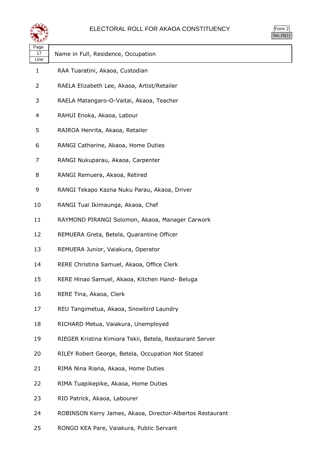

| orm<br>╭       |
|----------------|
| $\blacksquare$ |

| પ∓≠У               |                                                           |
|--------------------|-----------------------------------------------------------|
| Page<br>17<br>Line | Name in Full, Residence, Occupation                       |
| $\mathbf{1}$       | RAA Tuaratini, Akaoa, Custodian                           |
| 2                  | RAELA Elizabeth Lee, Akaoa, Artist/Retailer               |
| 3                  | RAELA Matangaro-O-Vaitai, Akaoa, Teacher                  |
| 4                  | RAHUI Enoka, Akaoa, Labour                                |
| 5                  | RAIROA Henrita, Akaoa, Retailer                           |
| 6                  | RANGI Catherine, Akaoa, Home Duties                       |
| 7                  | RANGI Nukuparau, Akaoa, Carpenter                         |
| 8                  | RANGI Remuera, Akaoa, Retired                             |
| 9                  | RANGI Tekapo Kazna Nuku Parau, Akaoa, Driver              |
| 10                 | RANGI Tuai Ikimaunga, Akaoa, Chef                         |
| 11                 | RAYMOND PIRANGI Solomon, Akaoa, Manager Carwork           |
| 12                 | REMUERA Greta, Betela, Quarantine Officer                 |
| 13                 | REMUERA Junior, Vaiakura, Operator                        |
| 14                 | RERE Christina Samuel, Akaoa, Office Clerk                |
| 15                 | RERE Hinao Samuel, Akaoa, Kitchen Hand- Beluga            |
| 16                 | RERE Tina, Akaoa, Clerk                                   |
| 17                 | REU Tangimetua, Akaoa, Snowbird Laundry                   |
| 18                 | RICHARD Metua, Vaiakura, Unemployed                       |
| 19                 | RIEGER Kristina Kimiora Tekii, Betela, Restaurant Server  |
| 20                 | RILEY Robert George, Betela, Occupation Not Stated        |
| 21                 | RIMA Nina Riana, Akaoa, Home Duties                       |
| 22                 | RIMA Tuapikepike, Akaoa, Home Duties                      |
| 23                 | RIO Patrick, Akaoa, Labourer                              |
| 24                 | ROBINSON Kerry James, Akaoa, Director-Albertos Restaurant |

RONGO KEA Pare, Vaiakura, Public Servant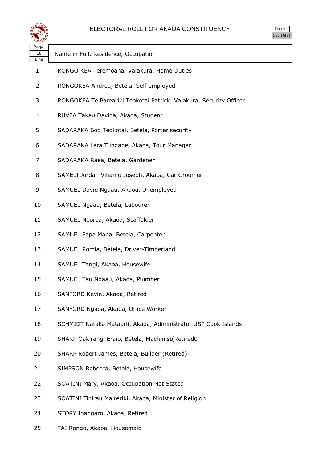

| ≍≞≛∕               |                                                                    |
|--------------------|--------------------------------------------------------------------|
| Page<br>18<br>Line | Name in Full, Residence, Occupation                                |
| $\mathbf{1}$       | RONGO KEA Teremoana, Vaiakura, Home Duties                         |
| 2                  | RONGOKEA Andrea, Betela, Self employed                             |
| 3                  | RONGOKEA Te Pareariki Teokotai Patrick, Vaiakura, Security Officer |
| 4                  | RUVEA Takau Davida, Akaoa, Student                                 |
| 5                  | SADARAKA Bob Teokotai, Betela, Porter security                     |
| 6                  | SADARAKA Lara Tungane, Akaoa, Tour Manager                         |
| 7                  | SADARAKA Raea, Betela, Gardener                                    |
| 8                  | SAMELI Jordan Viliamu Joseph, Akaoa, Car Groomer                   |
| 9                  | SAMUEL David Ngaau, Akaoa, Unemployed                              |
| 10                 | SAMUEL Ngaau, Betela, Labourer                                     |
| 11                 | SAMUEL Nooroa, Akaoa, Scaffolder                                   |
| 12                 | SAMUEL Papa Mana, Betela, Carpenter                                |
| 13                 | SAMUEL Romia, Betela, Driver-Timberland                            |
| 14                 | SAMUEL Tangi, Akaoa, Housewife                                     |
| 15                 | SAMUEL Tau Ngaau, Akaoa, Plumber                                   |
| 16                 | SANFORD Kevin, Akaoa, Retired                                      |
| 17                 | SANFORD Ngaoa, Akaoa, Office Worker                                |
| 18                 | SCHMIDT Natalia Mataarii, Akaoa, Administrator USP Cook Islands    |
| 19                 | SHARP Oakirangi Eraio, Betela, Machinist (Retired0                 |
| 20                 | SHARP Robert James, Betela, Builder (Retired)                      |
| 21                 | SIMPSON Rebecca, Betela, Housewife                                 |
| 22                 | SOATINI Mary, Akaoa, Occupation Not Stated                         |
| 23                 | SOATINI Tinirau Maireriki, Akaoa, Minister of Religion             |
| 24                 | STORY Inangaro, Akaoa, Retired                                     |
| 25                 | TAI Rongo, Akaoa, Housemaid                                        |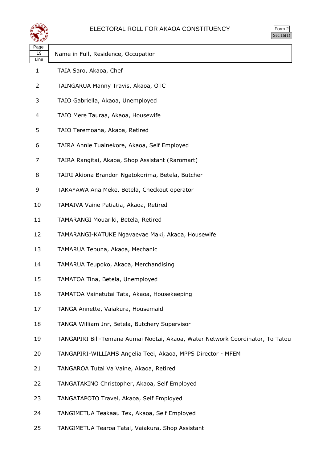

| <b>Im</b><br>٠<br>۰<br>$\cdot$ . |
|----------------------------------|
| ×.                               |

| Page<br>19<br>Line | Name in Full, Residence, Occupation                                            |
|--------------------|--------------------------------------------------------------------------------|
| 1                  | TAIA Saro, Akaoa, Chef                                                         |
| 2                  | TAINGARUA Manny Travis, Akaoa, OTC                                             |
| 3                  | TAIO Gabriella, Akaoa, Unemployed                                              |
| 4                  | TAIO Mere Tauraa, Akaoa, Housewife                                             |
| 5                  | TAIO Teremoana, Akaoa, Retired                                                 |
| 6                  | TAIRA Annie Tuainekore, Akaoa, Self Employed                                   |
| 7                  | TAIRA Rangitai, Akaoa, Shop Assistant (Raromart)                               |
| 8                  | TAIRI Akiona Brandon Ngatokorima, Betela, Butcher                              |
| 9                  | TAKAYAWA Ana Meke, Betela, Checkout operator                                   |
| 10                 | TAMAIVA Vaine Patiatia, Akaoa, Retired                                         |
| 11                 | TAMARANGI Mouariki, Betela, Retired                                            |
| 12                 | TAMARANGI-KATUKE Ngavaevae Maki, Akaoa, Housewife                              |
| 13                 | TAMARUA Tepuna, Akaoa, Mechanic                                                |
| 14                 | TAMARUA Teupoko, Akaoa, Merchandising                                          |
| 15                 | TAMATOA Tina, Betela, Unemployed                                               |
| 16                 | TAMATOA Vainetutai Tata, Akaoa, Housekeeping                                   |
| 17                 | TANGA Annette, Vaiakura, Housemaid                                             |
| 18                 | TANGA William Jnr, Betela, Butchery Supervisor                                 |
| 19                 | TANGAPIRI Bill-Temana Aumai Nootai, Akaoa, Water Network Coordinator, To Tatou |
| 20                 | TANGAPIRI-WILLIAMS Angelia Teei, Akaoa, MPPS Director - MFEM                   |
| 21                 | TANGAROA Tutai Va Vaine, Akaoa, Retired                                        |
| 22                 | TANGATAKINO Christopher, Akaoa, Self Employed                                  |
| 23                 | TANGATAPOTO Travel, Akaoa, Self Employed                                       |
| 24                 | TANGIMETUA Teakaau Tex, Akaoa, Self Employed                                   |
| 25                 | TANGIMETUA Tearoa Tatai, Vaiakura, Shop Assistant                              |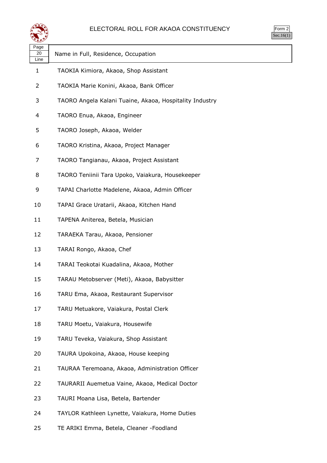

| orm |
|-----|
| ÷   |

| પ⊷                 |                                                         |
|--------------------|---------------------------------------------------------|
| Page<br>20<br>Line | Name in Full, Residence, Occupation                     |
| 1                  | TAOKIA Kimiora, Akaoa, Shop Assistant                   |
| 2                  | TAOKIA Marie Konini, Akaoa, Bank Officer                |
| 3                  | TAORO Angela Kalani Tuaine, Akaoa, Hospitality Industry |
| 4                  | TAORO Enua, Akaoa, Engineer                             |
| 5                  | TAORO Joseph, Akaoa, Welder                             |
| 6                  | TAORO Kristina, Akaoa, Project Manager                  |
| 7                  | TAORO Tangianau, Akaoa, Project Assistant               |
| 8                  | TAORO Teniinii Tara Upoko, Vaiakura, Housekeeper        |
| 9                  | TAPAI Charlotte Madelene, Akaoa, Admin Officer          |
| 10                 | TAPAI Grace Uratarii, Akaoa, Kitchen Hand               |
| 11                 | TAPENA Aniterea, Betela, Musician                       |
| 12                 | TARAEKA Tarau, Akaoa, Pensioner                         |
| 13                 | TARAI Rongo, Akaoa, Chef                                |
| 14                 | TARAI Teokotai Kuadalina, Akaoa, Mother                 |
| 15                 | TARAU Metobserver (Meti), Akaoa, Babysitter             |
| 16                 | TARU Ema, Akaoa, Restaurant Supervisor                  |
| 17                 | TARU Metuakore, Vaiakura, Postal Clerk                  |
| 18                 | TARU Moetu, Vaiakura, Housewife                         |
| 19                 | TARU Teveka, Vaiakura, Shop Assistant                   |
| 20                 | TAURA Upokoina, Akaoa, House keeping                    |
| 21                 | TAURAA Teremoana, Akaoa, Administration Officer         |
| 22                 | TAURARII Auemetua Vaine, Akaoa, Medical Doctor          |
| 23                 | TAURI Moana Lisa, Betela, Bartender                     |
| 24                 | TAYLOR Kathleen Lynette, Vaiakura, Home Duties          |
| 25                 | TE ARIKI Emma, Betela, Cleaner -Foodland                |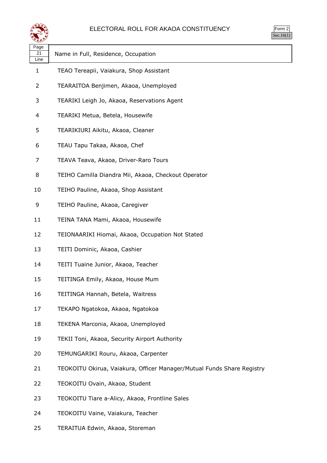

| orm |
|-----|
| ÷   |

| ستعص               |                                                                        |
|--------------------|------------------------------------------------------------------------|
| Page<br>21<br>Line | Name in Full, Residence, Occupation                                    |
| 1                  | TEAO Tereapii, Vaiakura, Shop Assistant                                |
| 2                  | TEARAITOA Benjimen, Akaoa, Unemployed                                  |
| 3                  | TEARIKI Leigh Jo, Akaoa, Reservations Agent                            |
| 4                  | TEARIKI Metua, Betela, Housewife                                       |
| 5                  | TEARIKIURI Aikitu, Akaoa, Cleaner                                      |
| 6                  | TEAU Tapu Takaa, Akaoa, Chef                                           |
| 7                  | TEAVA Teava, Akaoa, Driver-Raro Tours                                  |
| 8                  | TEIHO Camilla Diandra Mii, Akaoa, Checkout Operator                    |
| 10                 | TEIHO Pauline, Akaoa, Shop Assistant                                   |
| 9                  | TEIHO Pauline, Akaoa, Caregiver                                        |
| 11                 | TEINA TANA Mami, Akaoa, Housewife                                      |
| 12                 | TEIONAARIKI Hiomai, Akaoa, Occupation Not Stated                       |
| 13                 | TEITI Dominic, Akaoa, Cashier                                          |
| 14                 | TEITI Tuaine Junior, Akaoa, Teacher                                    |
| 15                 | TEITINGA Emily, Akaoa, House Mum                                       |
| 16                 | TEITINGA Hannah, Betela, Waitress                                      |
| 17                 | TEKAPO Ngatokoa, Akaoa, Ngatokoa                                       |
| 18                 | TEKENA Marconia, Akaoa, Unemployed                                     |
| 19                 | TEKII Toni, Akaoa, Security Airport Authority                          |
| 20                 | TEMUNGARIKI Rouru, Akaoa, Carpenter                                    |
| 21                 | TEOKOITU Okirua, Vaiakura, Officer Manager/Mutual Funds Share Registry |
| 22                 | TEOKOITU Ovain, Akaoa, Student                                         |
| 23                 | TEOKOITU Tiare a-Alicy, Akaoa, Frontline Sales                         |
| 24                 | TEOKOITU Vaine, Vaiakura, Teacher                                      |

TERAITUA Edwin, Akaoa, Storeman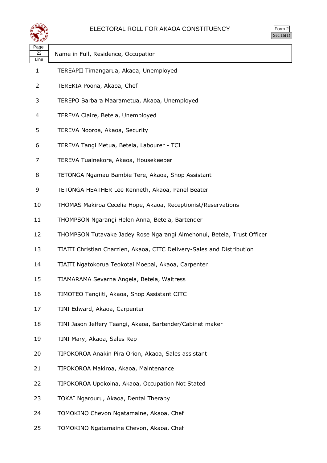

| orm<br>╭ |
|----------|
|          |

ヿ

| ९≛≚∑               |                                                                        |
|--------------------|------------------------------------------------------------------------|
| Page<br>22<br>Line | Name in Full, Residence, Occupation                                    |
| $\mathbf{1}$       | TEREAPII Timangarua, Akaoa, Unemployed                                 |
| 2                  | TEREKIA Poona, Akaoa, Chef                                             |
| 3                  | TEREPO Barbara Maarametua, Akaoa, Unemployed                           |
| 4                  | TEREVA Claire, Betela, Unemployed                                      |
| 5                  | TEREVA Nooroa, Akaoa, Security                                         |
| 6                  | TEREVA Tangi Metua, Betela, Labourer - TCI                             |
| 7                  | TEREVA Tuainekore, Akaoa, Housekeeper                                  |
| 8                  | TETONGA Ngamau Bambie Tere, Akaoa, Shop Assistant                      |
| 9                  | TETONGA HEATHER Lee Kenneth, Akaoa, Panel Beater                       |
| 10                 | THOMAS Makiroa Cecelia Hope, Akaoa, Receptionist/Reservations          |
| 11                 | THOMPSON Ngarangi Helen Anna, Betela, Bartender                        |
| 12                 | THOMPSON Tutavake Jadey Rose Ngarangi Aimehonui, Betela, Trust Officer |
| 13                 | TIAITI Christian Charzien, Akaoa, CITC Delivery-Sales and Distribution |
| 14                 | TIAITI Ngatokorua Teokotai Moepai, Akaoa, Carpenter                    |
| 15                 | TIAMARAMA Sevarna Angela, Betela, Waitress                             |
| 16                 | TIMOTEO Tangiiti, Akaoa, Shop Assistant CITC                           |
| 17                 | TINI Edward, Akaoa, Carpenter                                          |
| 18                 | TINI Jason Jeffery Teangi, Akaoa, Bartender/Cabinet maker              |
| 19                 | TINI Mary, Akaoa, Sales Rep                                            |
| 20                 | TIPOKOROA Anakin Pira Orion, Akaoa, Sales assistant                    |
| 21                 | TIPOKOROA Makiroa, Akaoa, Maintenance                                  |
| 22                 | TIPOKOROA Upokoina, Akaoa, Occupation Not Stated                       |
| 23                 | TOKAI Ngarouru, Akaoa, Dental Therapy                                  |
| 24                 | TOMOKINO Chevon Ngatamaine, Akaoa, Chef                                |
| 25                 | TOMOKINO Ngatamaine Chevon, Akaoa, Chef                                |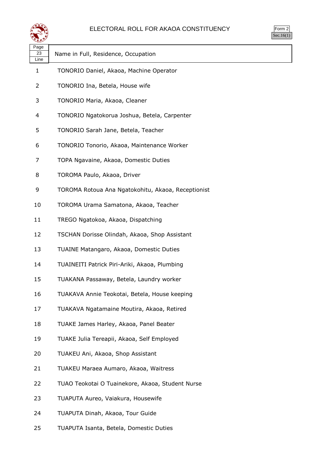

| m<br>г<br>., |
|--------------|
|              |

| Page<br>23 | Name in Full, Residence, Occupation                |
|------------|----------------------------------------------------|
| Line<br>1  | TONORIO Daniel, Akaoa, Machine Operator            |
|            |                                                    |
| 2          | TONORIO Ina, Betela, House wife                    |
| 3          | TONORIO Maria, Akaoa, Cleaner                      |
| 4          | TONORIO Ngatokorua Joshua, Betela, Carpenter       |
| 5          | TONORIO Sarah Jane, Betela, Teacher                |
| 6          | TONORIO Tonorio, Akaoa, Maintenance Worker         |
| 7          | TOPA Ngavaine, Akaoa, Domestic Duties              |
| 8          | TOROMA Paulo, Akaoa, Driver                        |
| 9          | TOROMA Rotoua Ana Ngatokohitu, Akaoa, Receptionist |
| 10         | TOROMA Urama Samatona, Akaoa, Teacher              |
| 11         | TREGO Ngatokoa, Akaoa, Dispatching                 |
| 12         | TSCHAN Dorisse Olindah, Akaoa, Shop Assistant      |
| 13         | TUAINE Matangaro, Akaoa, Domestic Duties           |
| 14         | TUAINEITI Patrick Piri-Ariki, Akaoa, Plumbing      |
| 15         | TUAKANA Passaway, Betela, Laundry worker           |
| 16         | TUAKAVA Annie Teokotai, Betela, House keeping      |
| 17         | TUAKAVA Ngatamaine Moutira, Akaoa, Retired         |
| 18         | TUAKE James Harley, Akaoa, Panel Beater            |
| 19         | TUAKE Julia Tereapii, Akaoa, Self Employed         |
| 20         | TUAKEU Ani, Akaoa, Shop Assistant                  |
| 21         | TUAKEU Maraea Aumaro, Akaoa, Waitress              |
| 22         | TUAO Teokotai O Tuainekore, Akaoa, Student Nurse   |
| 23         | TUAPUTA Aureo, Vaiakura, Housewife                 |
| 24         | TUAPUTA Dinah, Akaoa, Tour Guide                   |

TUAPUTA Isanta, Betela, Domestic Duties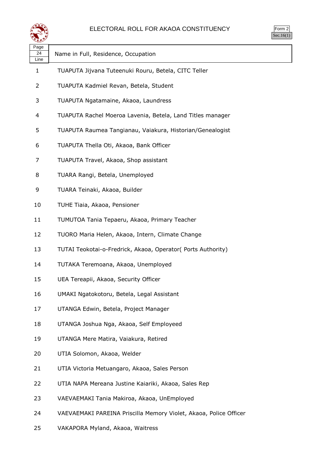

| orm |
|-----|
| ÷   |

| Page<br>24<br>Line | Name in Full, Residence, Occupation                               |
|--------------------|-------------------------------------------------------------------|
| 1                  | TUAPUTA Jijvana Tuteenuki Rouru, Betela, CITC Teller              |
| 2                  | TUAPUTA Kadmiel Revan, Betela, Student                            |
| 3                  | TUAPUTA Ngatamaine, Akaoa, Laundress                              |
| 4                  | TUAPUTA Rachel Moeroa Lavenia, Betela, Land Titles manager        |
| 5                  | TUAPUTA Raumea Tangianau, Vaiakura, Historian/Genealogist         |
| 6                  | TUAPUTA Thella Oti, Akaoa, Bank Officer                           |
| 7                  | TUAPUTA Travel, Akaoa, Shop assistant                             |
| 8                  | TUARA Rangi, Betela, Unemployed                                   |
| 9                  | TUARA Teinaki, Akaoa, Builder                                     |
| 10                 | TUHE Tiaia, Akaoa, Pensioner                                      |
| 11                 | TUMUTOA Tania Tepaeru, Akaoa, Primary Teacher                     |
| 12                 | TUORO Maria Helen, Akaoa, Intern, Climate Change                  |
| 13                 | TUTAI Teokotai-o-Fredrick, Akaoa, Operator( Ports Authority)      |
| 14                 | TUTAKA Teremoana, Akaoa, Unemployed                               |
| 15                 | UEA Tereapii, Akaoa, Security Officer                             |
| 16                 | UMAKI Ngatokotoru, Betela, Legal Assistant                        |
| 17                 | UTANGA Edwin, Betela, Project Manager                             |
| 18                 | UTANGA Joshua Nga, Akaoa, Self Employeed                          |
| 19                 | UTANGA Mere Matira, Vaiakura, Retired                             |
| 20                 | UTIA Solomon, Akaoa, Welder                                       |
| 21                 | UTIA Victoria Metuangaro, Akaoa, Sales Person                     |
| 22                 | UTIA NAPA Mereana Justine Kaiariki, Akaoa, Sales Rep              |
| 23                 | VAEVAEMAKI Tania Makiroa, Akaoa, UnEmployed                       |
| 24                 | VAEVAEMAKI PAREINA Priscilla Memory Violet, Akaoa, Police Officer |

VAKAPORA Myland, Akaoa, Waitress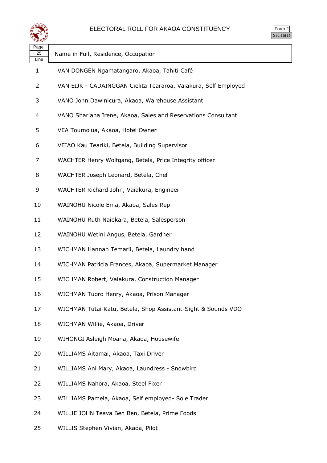

| Page<br>25<br>Line | Name in Full, Residence, Occupation                             |
|--------------------|-----------------------------------------------------------------|
| 1                  | VAN DONGEN Ngamatangaro, Akaoa, Tahiti Café                     |
| 2                  | VAN EIJK - CADAINGGAN Cielita Teararoa, Vaiakura, Self Employed |
| 3                  | VANO John Dawinicura, Akaoa, Warehouse Assistant                |
| 4                  | VANO Shariana Irene, Akaoa, Sales and Reservations Consultant   |
| 5                  | VEA Toumo'ua, Akaoa, Hotel Owner                                |
| 6                  | VEIAO Kau Teariki, Betela, Building Supervisor                  |
| 7                  | WACHTER Henry Wolfgang, Betela, Price Integrity officer         |
| 8                  | WACHTER Joseph Leonard, Betela, Chef                            |
| 9                  | WACHTER Richard John, Vaiakura, Engineer                        |
| 10                 | WAINOHU Nicole Ema, Akaoa, Sales Rep                            |
| 11                 | WAINOHU Ruth Naiekara, Betela, Salesperson                      |
| 12                 | WAINOHU Wetini Angus, Betela, Gardner                           |
| 13                 | WICHMAN Hannah Temarii, Betela, Laundry hand                    |
| 14                 | WICHMAN Patricia Frances, Akaoa, Supermarket Manager            |
| 15                 | WICHMAN Robert, Vaiakura, Construction Manager                  |
| 16                 | WICHMAN Tuoro Henry, Akaoa, Prison Manager                      |
| 17                 | WICHMAN Tutai Katu, Betela, Shop Assistant-Sight & Sounds VDO   |
| 18                 | WICHMAN Willie, Akaoa, Driver                                   |
| 19                 | WIHONGI Asleigh Moana, Akaoa, Housewife                         |
| 20                 | WILLIAMS Aitamai, Akaoa, Taxi Driver                            |
| 21                 | WILLIAMS Ani Mary, Akaoa, Laundress - Snowbird                  |
| 22                 | WILLIAMS Nahora, Akaoa, Steel Fixer                             |
| 23                 | WILLIAMS Pamela, Akaoa, Self employed- Sole Trader              |
| 24                 | WILLIE JOHN Teava Ben Ben, Betela, Prime Foods                  |

WILLIS Stephen Vivian, Akaoa, Pilot